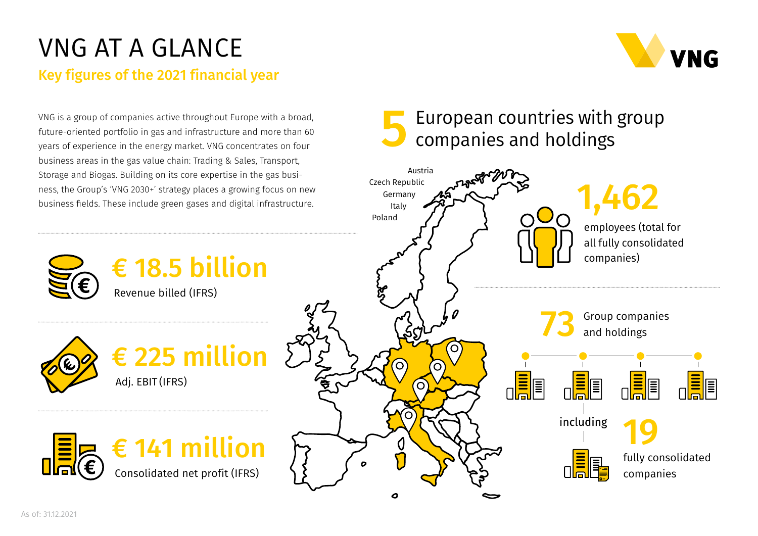## VNG AT A GLANCE

Key figures of the 2021 financial year

# VNG

VNG is a group of companies active throughout Europe with a broad, future-oriented portfolio in gas and infrastructure and more than 60 years of experience in the energy market. VNG concentrates on four business areas in the gas value chain: Trading & Sales, Transport, Storage and Biogas. Building on its core expertise in the gas business, the Group's 'VNG 2030+' strategy places a growing focus on new business fields. These include green gases and digital infrastructure.

### 5 European countries with group companies and holdings







€ 18.5 billion

Revenue billed (IFRS)